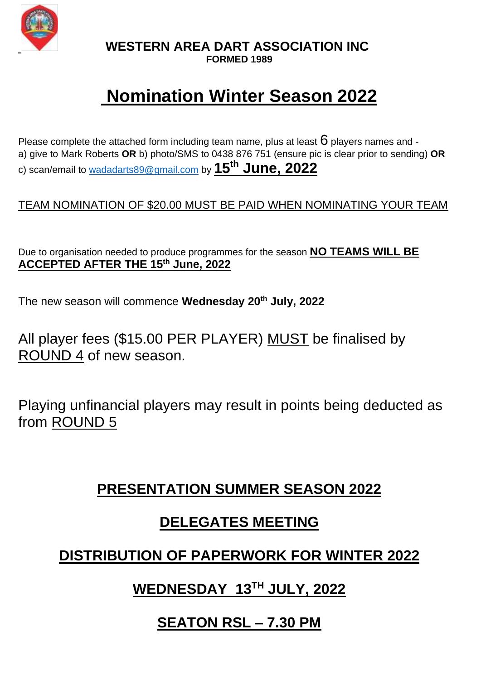

**WESTERN AREA DART ASSOCIATION INC**

#### **FORMED 1989**

# **Nomination Winter Season 2022**

Please complete the attached form including team name, plus at least  $6$  players names and a) give to Mark Roberts **OR** b) photo/SMS to 0438 876 751 (ensure pic is clear prior to sending) **OR** c) scan/email to [wadadarts89@gmail.com](mailto:wadadarts89@gmail.com) by **15th June, 2022**

#### TEAM NOMINATION OF \$20.00 MUST BE PAID WHEN NOMINATING YOUR TEAM

Due to organisation needed to produce programmes for the season **NO TEAMS WILL BE ACCEPTED AFTER THE 15th June, 2022**

The new season will commence **Wednesday 20th July, 2022**

All player fees (\$15.00 PER PLAYER) MUST be finalised by ROUND 4 of new season.

Playing unfinancial players may result in points being deducted as from ROUND 5

### **PRESENTATION SUMMER SEASON 2022**

### **DELEGATES MEETING**

### **DISTRIBUTION OF PAPERWORK FOR WINTER 2022**

# **WEDNESDAY 13 TH JULY, 2022**

### **SEATON RSL – 7.30 PM**